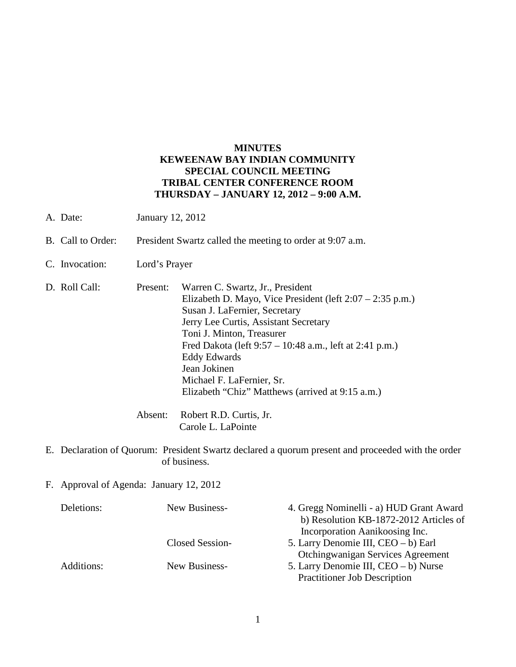## **MINUTES KEWEENAW BAY INDIAN COMMUNITY SPECIAL COUNCIL MEETING TRIBAL CENTER CONFERENCE ROOM THURSDAY – JANUARY 12, 2012 – 9:00 A.M.**

- A. Date: January 12, 2012
- B. Call to Order: President Swartz called the meeting to order at 9:07 a.m.
- C. Invocation: Lord's Prayer
- D. Roll Call: Present: Warren C. Swartz, Jr., President Elizabeth D. Mayo, Vice President (left 2:07 – 2:35 p.m.) Susan J. LaFernier, Secretary Jerry Lee Curtis, Assistant Secretary Toni J. Minton, Treasurer Fred Dakota (left 9:57 – 10:48 a.m., left at 2:41 p.m.) Eddy Edwards Jean Jokinen Michael F. LaFernier, Sr. Elizabeth "Chiz" Matthews (arrived at 9:15 a.m.)
	- Absent: Robert R.D. Curtis, Jr. Carole L. LaPointe
- E. Declaration of Quorum: President Swartz declared a quorum present and proceeded with the order of business.
- F. Approval of Agenda: January 12, 2012

| Deletions: | New Business-   | 4. Gregg Nominelli - a) HUD Grant Award |
|------------|-----------------|-----------------------------------------|
|            |                 | b) Resolution KB-1872-2012 Articles of  |
|            |                 | Incorporation Aanikoosing Inc.          |
|            | Closed Session- | 5. Larry Denomie III, CEO – b) Earl     |
|            |                 | Otchingwanigan Services Agreement       |
| Additions: | New Business-   | 5. Larry Denomie III, CEO – b) Nurse    |
|            |                 | <b>Practitioner Job Description</b>     |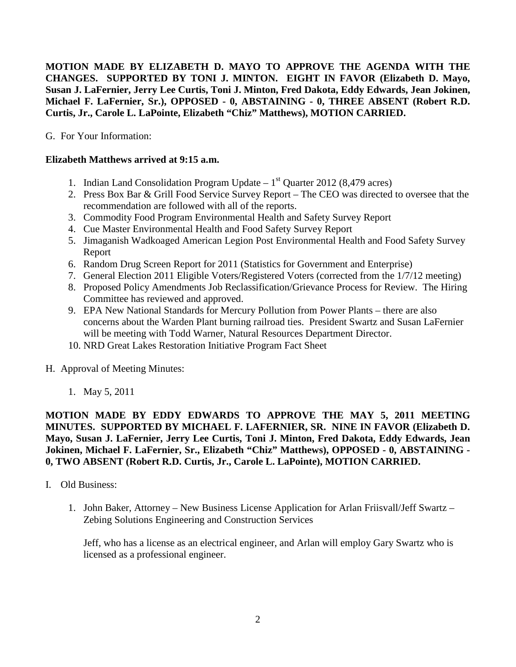**MOTION MADE BY ELIZABETH D. MAYO TO APPROVE THE AGENDA WITH THE CHANGES. SUPPORTED BY TONI J. MINTON. EIGHT IN FAVOR (Elizabeth D. Mayo, Susan J. LaFernier, Jerry Lee Curtis, Toni J. Minton, Fred Dakota, Eddy Edwards, Jean Jokinen, Michael F. LaFernier, Sr.), OPPOSED - 0, ABSTAINING - 0, THREE ABSENT (Robert R.D. Curtis, Jr., Carole L. LaPointe, Elizabeth "Chiz" Matthews), MOTION CARRIED.**

G. For Your Information:

# **Elizabeth Matthews arrived at 9:15 a.m.**

- 1. Indian Land Consolidation Program Update  $1<sup>st</sup>$  Quarter 2012 (8,479 acres)
- 2. Press Box Bar & Grill Food Service Survey Report The CEO was directed to oversee that the recommendation are followed with all of the reports.
- 3. Commodity Food Program Environmental Health and Safety Survey Report
- 4. Cue Master Environmental Health and Food Safety Survey Report
- 5. Jimaganish Wadkoaged American Legion Post Environmental Health and Food Safety Survey Report
- 6. Random Drug Screen Report for 2011 (Statistics for Government and Enterprise)
- 7. General Election 2011 Eligible Voters/Registered Voters (corrected from the 1/7/12 meeting)
- 8. Proposed Policy Amendments Job Reclassification/Grievance Process for Review. The Hiring Committee has reviewed and approved.
- 9. EPA New National Standards for Mercury Pollution from Power Plants there are also concerns about the Warden Plant burning railroad ties. President Swartz and Susan LaFernier will be meeting with Todd Warner, Natural Resources Department Director.
- 10. NRD Great Lakes Restoration Initiative Program Fact Sheet
- H. Approval of Meeting Minutes:
	- 1. May 5, 2011

**MOTION MADE BY EDDY EDWARDS TO APPROVE THE MAY 5, 2011 MEETING MINUTES. SUPPORTED BY MICHAEL F. LAFERNIER, SR. NINE IN FAVOR (Elizabeth D. Mayo, Susan J. LaFernier, Jerry Lee Curtis, Toni J. Minton, Fred Dakota, Eddy Edwards, Jean Jokinen, Michael F. LaFernier, Sr., Elizabeth "Chiz" Matthews), OPPOSED - 0, ABSTAINING - 0, TWO ABSENT (Robert R.D. Curtis, Jr., Carole L. LaPointe), MOTION CARRIED.**

- I. Old Business:
	- 1. John Baker, Attorney New Business License Application for Arlan Friisvall/Jeff Swartz Zebing Solutions Engineering and Construction Services

Jeff, who has a license as an electrical engineer, and Arlan will employ Gary Swartz who is licensed as a professional engineer.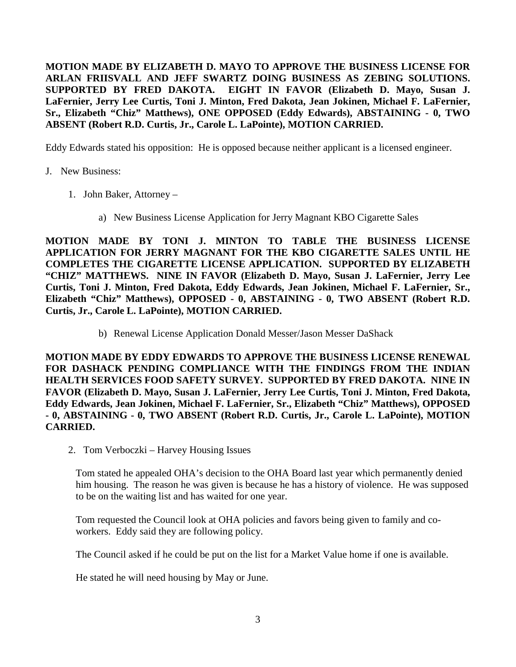**MOTION MADE BY ELIZABETH D. MAYO TO APPROVE THE BUSINESS LICENSE FOR ARLAN FRIISVALL AND JEFF SWARTZ DOING BUSINESS AS ZEBING SOLUTIONS. SUPPORTED BY FRED DAKOTA. EIGHT IN FAVOR (Elizabeth D. Mayo, Susan J. LaFernier, Jerry Lee Curtis, Toni J. Minton, Fred Dakota, Jean Jokinen, Michael F. LaFernier, Sr., Elizabeth "Chiz" Matthews), ONE OPPOSED (Eddy Edwards), ABSTAINING - 0, TWO ABSENT (Robert R.D. Curtis, Jr., Carole L. LaPointe), MOTION CARRIED.**

Eddy Edwards stated his opposition: He is opposed because neither applicant is a licensed engineer.

- J. New Business:
	- 1. John Baker, Attorney
		- a) New Business License Application for Jerry Magnant KBO Cigarette Sales

**MOTION MADE BY TONI J. MINTON TO TABLE THE BUSINESS LICENSE APPLICATION FOR JERRY MAGNANT FOR THE KBO CIGARETTE SALES UNTIL HE COMPLETES THE CIGARETTE LICENSE APPLICATION. SUPPORTED BY ELIZABETH "CHIZ" MATTHEWS. NINE IN FAVOR (Elizabeth D. Mayo, Susan J. LaFernier, Jerry Lee Curtis, Toni J. Minton, Fred Dakota, Eddy Edwards, Jean Jokinen, Michael F. LaFernier, Sr., Elizabeth "Chiz" Matthews), OPPOSED - 0, ABSTAINING - 0, TWO ABSENT (Robert R.D. Curtis, Jr., Carole L. LaPointe), MOTION CARRIED.** 

b) Renewal License Application Donald Messer/Jason Messer DaShack

**MOTION MADE BY EDDY EDWARDS TO APPROVE THE BUSINESS LICENSE RENEWAL FOR DASHACK PENDING COMPLIANCE WITH THE FINDINGS FROM THE INDIAN HEALTH SERVICES FOOD SAFETY SURVEY. SUPPORTED BY FRED DAKOTA. NINE IN FAVOR (Elizabeth D. Mayo, Susan J. LaFernier, Jerry Lee Curtis, Toni J. Minton, Fred Dakota, Eddy Edwards, Jean Jokinen, Michael F. LaFernier, Sr., Elizabeth "Chiz" Matthews), OPPOSED - 0, ABSTAINING - 0, TWO ABSENT (Robert R.D. Curtis, Jr., Carole L. LaPointe), MOTION CARRIED.**

2. Tom Verboczki – Harvey Housing Issues

Tom stated he appealed OHA's decision to the OHA Board last year which permanently denied him housing. The reason he was given is because he has a history of violence. He was supposed to be on the waiting list and has waited for one year.

Tom requested the Council look at OHA policies and favors being given to family and coworkers. Eddy said they are following policy.

The Council asked if he could be put on the list for a Market Value home if one is available.

He stated he will need housing by May or June.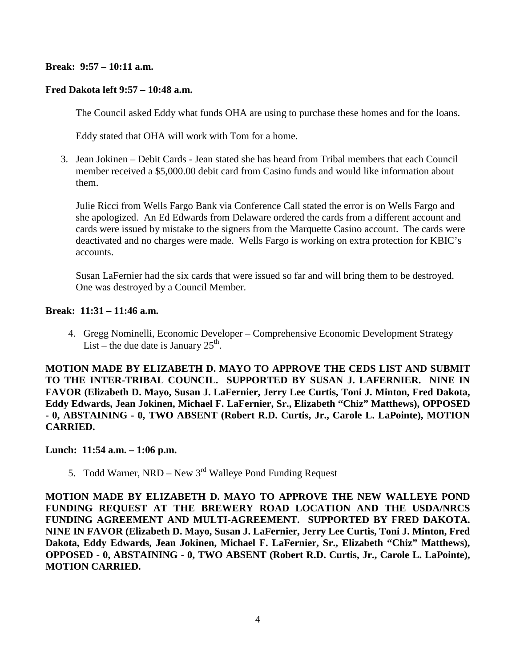### **Break: 9:57 – 10:11 a.m.**

#### **Fred Dakota left 9:57 – 10:48 a.m.**

The Council asked Eddy what funds OHA are using to purchase these homes and for the loans.

Eddy stated that OHA will work with Tom for a home.

3. Jean Jokinen – Debit Cards - Jean stated she has heard from Tribal members that each Council member received a \$5,000.00 debit card from Casino funds and would like information about them.

Julie Ricci from Wells Fargo Bank via Conference Call stated the error is on Wells Fargo and she apologized. An Ed Edwards from Delaware ordered the cards from a different account and cards were issued by mistake to the signers from the Marquette Casino account. The cards were deactivated and no charges were made. Wells Fargo is working on extra protection for KBIC's accounts.

Susan LaFernier had the six cards that were issued so far and will bring them to be destroyed. One was destroyed by a Council Member.

#### **Break: 11:31 – 11:46 a.m.**

4. Gregg Nominelli, Economic Developer – Comprehensive Economic Development Strategy List – the due date is January  $25<sup>th</sup>$ .

**MOTION MADE BY ELIZABETH D. MAYO TO APPROVE THE CEDS LIST AND SUBMIT TO THE INTER-TRIBAL COUNCIL. SUPPORTED BY SUSAN J. LAFERNIER. NINE IN FAVOR (Elizabeth D. Mayo, Susan J. LaFernier, Jerry Lee Curtis, Toni J. Minton, Fred Dakota, Eddy Edwards, Jean Jokinen, Michael F. LaFernier, Sr., Elizabeth "Chiz" Matthews), OPPOSED - 0, ABSTAINING - 0, TWO ABSENT (Robert R.D. Curtis, Jr., Carole L. LaPointe), MOTION CARRIED.**

#### **Lunch: 11:54 a.m. – 1:06 p.m.**

5. Todd Warner, NRD – New  $3<sup>rd</sup>$  Walleye Pond Funding Request

**MOTION MADE BY ELIZABETH D. MAYO TO APPROVE THE NEW WALLEYE POND FUNDING REQUEST AT THE BREWERY ROAD LOCATION AND THE USDA/NRCS FUNDING AGREEMENT AND MULTI-AGREEMENT. SUPPORTED BY FRED DAKOTA. NINE IN FAVOR (Elizabeth D. Mayo, Susan J. LaFernier, Jerry Lee Curtis, Toni J. Minton, Fred Dakota, Eddy Edwards, Jean Jokinen, Michael F. LaFernier, Sr., Elizabeth "Chiz" Matthews), OPPOSED - 0, ABSTAINING - 0, TWO ABSENT (Robert R.D. Curtis, Jr., Carole L. LaPointe), MOTION CARRIED.**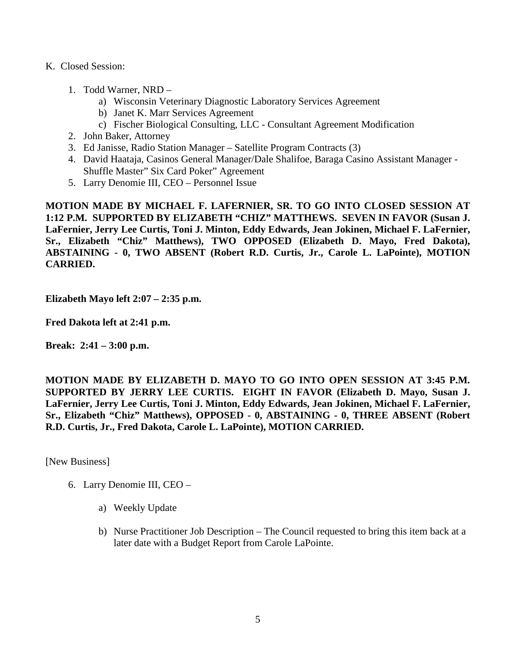- K. Closed Session:
	- 1. Todd Warner, NRD
		- a) Wisconsin Veterinary Diagnostic Laboratory Services Agreement
		- b) Janet K. Marr Services Agreement
		- c) Fischer Biological Consulting, LLC Consultant Agreement Modification
	- 2. John Baker, Attorney
	- 3. Ed Janisse, Radio Station Manager Satellite Program Contracts (3)
	- 4. David Haataja, Casinos General Manager/Dale Shalifoe, Baraga Casino Assistant Manager Shuffle Master" Six Card Poker" Agreement
	- 5. Larry Denomie III, CEO Personnel Issue

**MOTION MADE BY MICHAEL F. LAFERNIER, SR. TO GO INTO CLOSED SESSION AT 1:12 P.M. SUPPORTED BY ELIZABETH "CHIZ" MATTHEWS. SEVEN IN FAVOR (Susan J. LaFernier, Jerry Lee Curtis, Toni J. Minton, Eddy Edwards, Jean Jokinen, Michael F. LaFernier, Sr., Elizabeth "Chiz" Matthews), TWO OPPOSED (Elizabeth D. Mayo, Fred Dakota), ABSTAINING - 0, TWO ABSENT (Robert R.D. Curtis, Jr., Carole L. LaPointe), MOTION CARRIED.**

**Elizabeth Mayo left 2:07 – 2:35 p.m.** 

**Fred Dakota left at 2:41 p.m.**

**Break: 2:41 – 3:00 p.m.**

**MOTION MADE BY ELIZABETH D. MAYO TO GO INTO OPEN SESSION AT 3:45 P.M. SUPPORTED BY JERRY LEE CURTIS. EIGHT IN FAVOR (Elizabeth D. Mayo, Susan J. LaFernier, Jerry Lee Curtis, Toni J. Minton, Eddy Edwards, Jean Jokinen, Michael F. LaFernier, Sr., Elizabeth "Chiz" Matthews), OPPOSED - 0, ABSTAINING - 0, THREE ABSENT (Robert R.D. Curtis, Jr., Fred Dakota, Carole L. LaPointe), MOTION CARRIED.**

[New Business]

- 6. Larry Denomie III, CEO
	- a) Weekly Update
	- b) Nurse Practitioner Job Description The Council requested to bring this item back at a later date with a Budget Report from Carole LaPointe.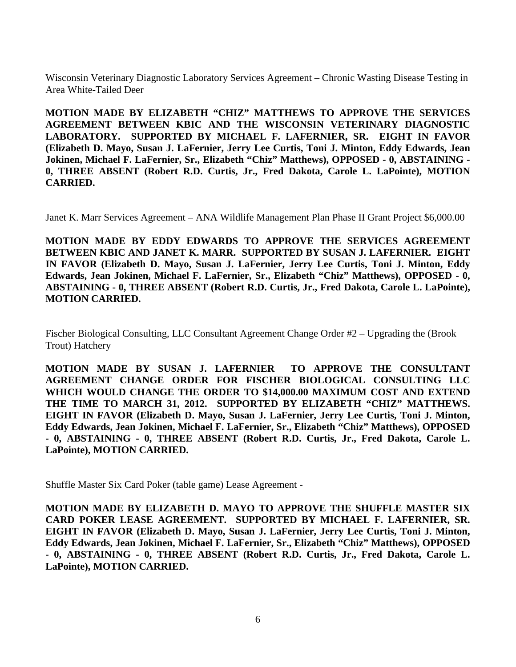Wisconsin Veterinary Diagnostic Laboratory Services Agreement – Chronic Wasting Disease Testing in Area White-Tailed Deer

**MOTION MADE BY ELIZABETH "CHIZ" MATTHEWS TO APPROVE THE SERVICES AGREEMENT BETWEEN KBIC AND THE WISCONSIN VETERINARY DIAGNOSTIC LABORATORY. SUPPORTED BY MICHAEL F. LAFERNIER, SR. EIGHT IN FAVOR (Elizabeth D. Mayo, Susan J. LaFernier, Jerry Lee Curtis, Toni J. Minton, Eddy Edwards, Jean Jokinen, Michael F. LaFernier, Sr., Elizabeth "Chiz" Matthews), OPPOSED - 0, ABSTAINING - 0, THREE ABSENT (Robert R.D. Curtis, Jr., Fred Dakota, Carole L. LaPointe), MOTION CARRIED.**

Janet K. Marr Services Agreement – ANA Wildlife Management Plan Phase II Grant Project \$6,000.00

**MOTION MADE BY EDDY EDWARDS TO APPROVE THE SERVICES AGREEMENT BETWEEN KBIC AND JANET K. MARR. SUPPORTED BY SUSAN J. LAFERNIER. EIGHT IN FAVOR (Elizabeth D. Mayo, Susan J. LaFernier, Jerry Lee Curtis, Toni J. Minton, Eddy Edwards, Jean Jokinen, Michael F. LaFernier, Sr., Elizabeth "Chiz" Matthews), OPPOSED - 0, ABSTAINING - 0, THREE ABSENT (Robert R.D. Curtis, Jr., Fred Dakota, Carole L. LaPointe), MOTION CARRIED.**

Fischer Biological Consulting, LLC Consultant Agreement Change Order #2 – Upgrading the (Brook Trout) Hatchery

**MOTION MADE BY SUSAN J. LAFERNIER TO APPROVE THE CONSULTANT AGREEMENT CHANGE ORDER FOR FISCHER BIOLOGICAL CONSULTING LLC WHICH WOULD CHANGE THE ORDER TO \$14,000.00 MAXIMUM COST AND EXTEND THE TIME TO MARCH 31, 2012. SUPPORTED BY ELIZABETH "CHIZ" MATTHEWS. EIGHT IN FAVOR (Elizabeth D. Mayo, Susan J. LaFernier, Jerry Lee Curtis, Toni J. Minton, Eddy Edwards, Jean Jokinen, Michael F. LaFernier, Sr., Elizabeth "Chiz" Matthews), OPPOSED - 0, ABSTAINING - 0, THREE ABSENT (Robert R.D. Curtis, Jr., Fred Dakota, Carole L. LaPointe), MOTION CARRIED.**

Shuffle Master Six Card Poker (table game) Lease Agreement -

**MOTION MADE BY ELIZABETH D. MAYO TO APPROVE THE SHUFFLE MASTER SIX CARD POKER LEASE AGREEMENT. SUPPORTED BY MICHAEL F. LAFERNIER, SR. EIGHT IN FAVOR (Elizabeth D. Mayo, Susan J. LaFernier, Jerry Lee Curtis, Toni J. Minton, Eddy Edwards, Jean Jokinen, Michael F. LaFernier, Sr., Elizabeth "Chiz" Matthews), OPPOSED - 0, ABSTAINING - 0, THREE ABSENT (Robert R.D. Curtis, Jr., Fred Dakota, Carole L. LaPointe), MOTION CARRIED.**